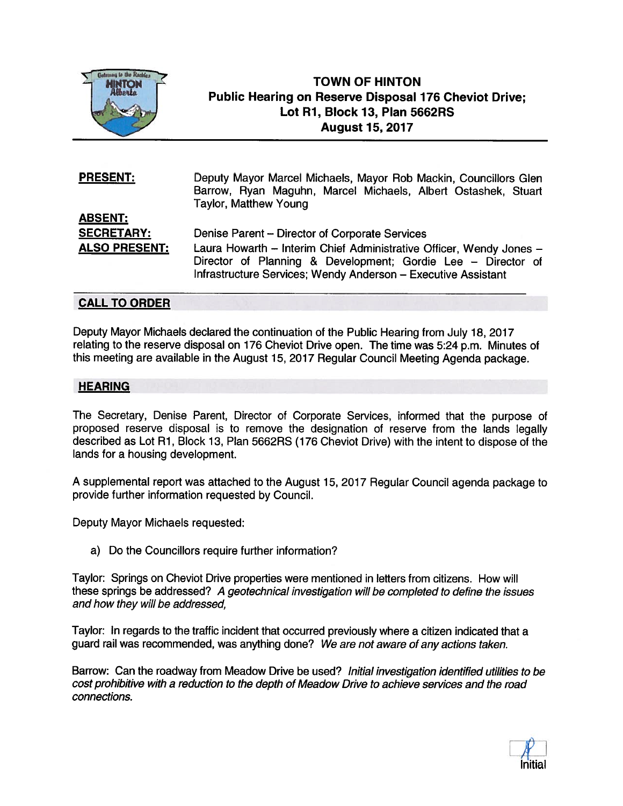

## TOWN OF HINTON Public Hearing on Reserve Disposal 176 Cheviot Drive; Lot Ri, Block 13, Plan 5662RS August 15, 2017

| <b>PRESENT:</b>      | Deputy Mayor Marcel Michaels, Mayor Rob Mackin, Councillors Glen<br>Barrow, Ryan Maguhn, Marcel Michaels, Albert Ostashek, Stuart<br><b>Taylor, Matthew Young</b>                                    |
|----------------------|------------------------------------------------------------------------------------------------------------------------------------------------------------------------------------------------------|
| <b>ABSENT:</b>       |                                                                                                                                                                                                      |
| <b>SECRETARY:</b>    | Denise Parent - Director of Corporate Services                                                                                                                                                       |
| <b>ALSO PRESENT:</b> | Laura Howarth - Interim Chief Administrative Officer, Wendy Jones -<br>Director of Planning & Development; Gordie Lee - Director of<br>Infrastructure Services; Wendy Anderson - Executive Assistant |

## CALL TO ORDER

Deputy Mayor Michaels declared the continuation of the Public Hearing from July 18, 2017 relating to the reserve disposal on 176 Cheviot Drive open. The time was 5:24 p.m. Minutes of this meeting are available in the August 15, 2017 Regular Council Meeting Agenda package.

## **HEARING**

The Secretary, Denise Parent, Director of Corporate Services, informed that the purpose of proposed reserve disposal is to remove the designation of reserve from the lands legally described as Lot Ri, Block 13, Plan 5662RS (176 Cheviot Drive) with the intent to dispose of the lands for <sup>a</sup> housing development.

<sup>A</sup> supplemental repor<sup>t</sup> was attached to the August 15, 2017 Regular Council agenda package to provide further information requested by Council.

Deputy Mayor Michaels requested:

a) Do the Councillors require further information?

Taylor: Springs on Cheviot Drive properties were mentioned in letters from citizens. How will these springs be addressed? <sup>A</sup> geotechnical investigation will be completed to define the issues and how they will be addressed,

Taylor: In regards to the traffic incident that occurred previously where <sup>a</sup> citizen indicated that <sup>a</sup> guar<sup>d</sup> rail was recommended, was anything done? We are not aware of any actions taken.

Barrow: Can the roadway from Meadow Drive be used? Initial investigation identified utilities to be cost prohibitive with <sup>a</sup> reduction to the depth of Meadow Drive to achieve services and the road connections.